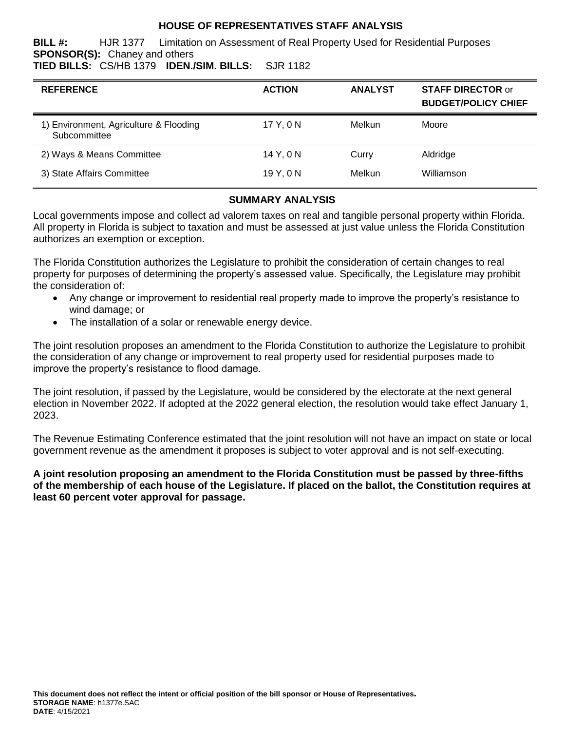## **HOUSE OF REPRESENTATIVES STAFF ANALYSIS**

**BILL #:** HJR 1377 Limitation on Assessment of Real Property Used for Residential Purposes **SPONSOR(S):** Chaney and others

**TIED BILLS:** CS/HB 1379 **IDEN./SIM. BILLS:** SJR 1182

| <b>REFERENCE</b>                                       | <b>ACTION</b> | <b>ANALYST</b> | <b>STAFF DIRECTOR or</b><br><b>BUDGET/POLICY CHIEF</b> |
|--------------------------------------------------------|---------------|----------------|--------------------------------------------------------|
| 1) Environment, Agriculture & Flooding<br>Subcommittee | 17 Y.ON       | Melkun         | Moore                                                  |
| 2) Ways & Means Committee                              | 14 Y.ON       | Curry          | Aldridge                                               |
| 3) State Affairs Committee                             | 19Y.0N        | Melkun         | Williamson                                             |

## **SUMMARY ANALYSIS**

Local governments impose and collect ad valorem taxes on real and tangible personal property within Florida. All property in Florida is subject to taxation and must be assessed at just value unless the Florida Constitution authorizes an exemption or exception.

The Florida Constitution authorizes the Legislature to prohibit the consideration of certain changes to real property for purposes of determining the property's assessed value. Specifically, the Legislature may prohibit the consideration of:

- Any change or improvement to residential real property made to improve the property's resistance to wind damage; or
- The installation of a solar or renewable energy device.

The joint resolution proposes an amendment to the Florida Constitution to authorize the Legislature to prohibit the consideration of any change or improvement to real property used for residential purposes made to improve the property's resistance to flood damage.

The joint resolution, if passed by the Legislature, would be considered by the electorate at the next general election in November 2022. If adopted at the 2022 general election, the resolution would take effect January 1, 2023.

The Revenue Estimating Conference estimated that the joint resolution will not have an impact on state or local government revenue as the amendment it proposes is subject to voter approval and is not self-executing.

**A joint resolution proposing an amendment to the Florida Constitution must be passed by three-fifths of the membership of each house of the Legislature. If placed on the ballot, the Constitution requires at least 60 percent voter approval for passage.**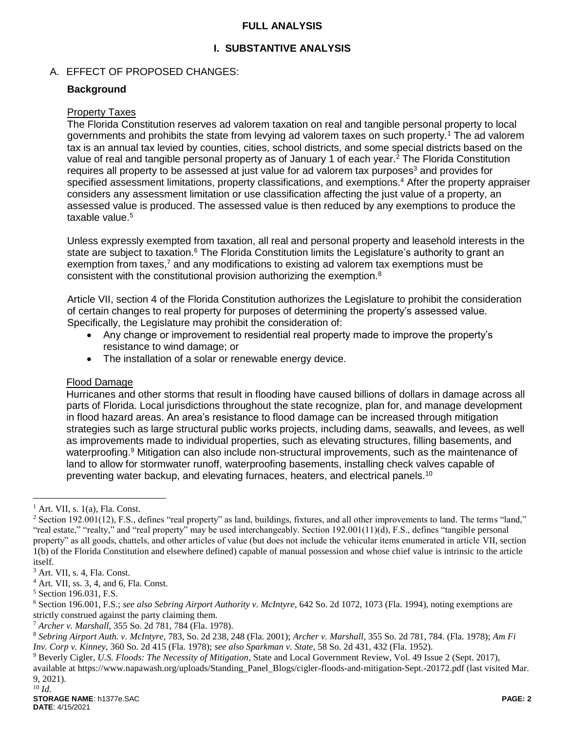### **FULL ANALYSIS**

## **I. SUBSTANTIVE ANALYSIS**

### A. EFFECT OF PROPOSED CHANGES:

#### **Background**

#### Property Taxes

The Florida Constitution reserves ad valorem taxation on real and tangible personal property to local governments and prohibits the state from levying ad valorem taxes on such property.<sup>1</sup> The ad valorem tax is an annual tax levied by counties, cities, school districts, and some special districts based on the value of real and tangible personal property as of January 1 of each year.<sup>2</sup> The Florida Constitution requires all property to be assessed at just value for ad valorem tax purposes<sup>3</sup> and provides for specified assessment limitations, property classifications, and exemptions.<sup>4</sup> After the property appraiser considers any assessment limitation or use classification affecting the just value of a property, an assessed value is produced. The assessed value is then reduced by any exemptions to produce the taxable value.<sup>5</sup>

Unless expressly exempted from taxation, all real and personal property and leasehold interests in the state are subject to taxation.<sup>6</sup> The Florida Constitution limits the Legislature's authority to grant an exemption from taxes,<sup>7</sup> and any modifications to existing ad valorem tax exemptions must be consistent with the constitutional provision authorizing the exemption.<sup>8</sup>

Article VII, section 4 of the Florida Constitution authorizes the Legislature to prohibit the consideration of certain changes to real property for purposes of determining the property's assessed value. Specifically, the Legislature may prohibit the consideration of:

- Any change or improvement to residential real property made to improve the property's resistance to wind damage; or
- The installation of a solar or renewable energy device.

#### Flood Damage

Hurricanes and other storms that result in flooding have caused billions of dollars in damage across all parts of Florida. Local jurisdictions throughout the state recognize, plan for, and manage development in flood hazard areas. An area's resistance to flood damage can be increased through mitigation strategies such as large structural public works projects, including dams, seawalls, and levees, as well as improvements made to individual properties, such as elevating structures, filling basements, and waterproofing.<sup>9</sup> Mitigation can also include non-structural improvements, such as the maintenance of land to allow for stormwater runoff, waterproofing basements, installing check valves capable of preventing water backup, and elevating furnaces, heaters, and electrical panels.<sup>10</sup>

 $\overline{a}$ 

 $<sup>1</sup>$  Art. VII, s. 1(a), Fla. Const.</sup>

 $2$  Section 192.001(12), F.S., defines "real property" as land, buildings, fixtures, and all other improvements to land. The terms "land," "real estate," "realty," and "real property" may be used interchangeably. Section 192.001(11)(d), F.S., defines "tangible personal property" as all goods, chattels, and other articles of value (but does not include the vehicular items enumerated in article VII, section 1(b) of the Florida Constitution and elsewhere defined) capable of manual possession and whose chief value is intrinsic to the article itself.

<sup>3</sup> Art. VII, s. 4, Fla. Const.

<sup>4</sup> Art. VII, ss. 3, 4, and 6, Fla. Const.

<sup>5</sup> Section 196.031, F.S.

<sup>6</sup> Section 196.001, F.S.; *see also Sebring Airport Authority v. McIntyre*, 642 So. 2d 1072, 1073 (Fla. 1994), noting exemptions are strictly construed against the party claiming them.

<sup>7</sup> *Archer v. Marshall*, 355 So. 2d 781, 784 (Fla. 1978).

<sup>8</sup> *Sebring Airport Auth. v. McIntyre,* 783, So. 2d 238, 248 (Fla. 2001); *Archer v. Marshall,* 355 So. 2d 781, 784. (Fla. 1978); *Am Fi Inv. Corp v. Kinney,* 360 So. 2d 415 (Fla. 1978); *see also Sparkman v. State,* 58 So. 2d 431, 432 (Fla. 1952).

<sup>9</sup> Beverly Cigler, *U.S. Floods: The Necessity of Mitigation*, State and Local Government Review, Vol. 49 Issue 2 (Sept. 2017),

available at https://www.napawash.org/uploads/Standing\_Panel\_Blogs/cigler-floods-and-mitigation-Sept.-20172.pdf (last visited Mar. 9, 2021).  $^{10}$  *Id.*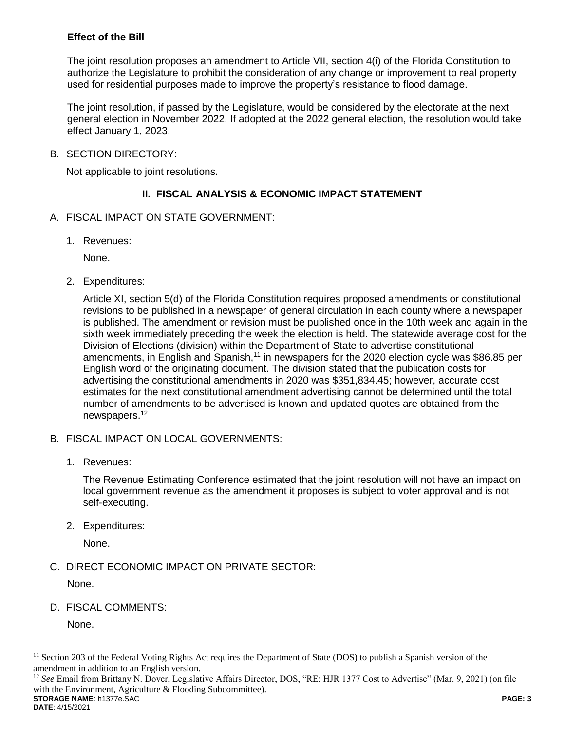## **Effect of the Bill**

The joint resolution proposes an amendment to Article VII, section 4(i) of the Florida Constitution to authorize the Legislature to prohibit the consideration of any change or improvement to real property used for residential purposes made to improve the property's resistance to flood damage.

The joint resolution, if passed by the Legislature, would be considered by the electorate at the next general election in November 2022. If adopted at the 2022 general election, the resolution would take effect January 1, 2023.

B. SECTION DIRECTORY:

Not applicable to joint resolutions.

## **II. FISCAL ANALYSIS & ECONOMIC IMPACT STATEMENT**

- A. FISCAL IMPACT ON STATE GOVERNMENT:
	- 1. Revenues:

None.

2. Expenditures:

Article XI, section 5(d) of the Florida Constitution requires proposed amendments or constitutional revisions to be published in a newspaper of general circulation in each county where a newspaper is published. The amendment or revision must be published once in the 10th week and again in the sixth week immediately preceding the week the election is held. The statewide average cost for the Division of Elections (division) within the Department of State to advertise constitutional amendments, in English and Spanish,<sup>11</sup> in newspapers for the 2020 election cycle was \$86.85 per English word of the originating document. The division stated that the publication costs for advertising the constitutional amendments in 2020 was \$351,834.45; however, accurate cost estimates for the next constitutional amendment advertising cannot be determined until the total number of amendments to be advertised is known and updated quotes are obtained from the newspapers.<sup>12</sup>

- B. FISCAL IMPACT ON LOCAL GOVERNMENTS:
	- 1. Revenues:

The Revenue Estimating Conference estimated that the joint resolution will not have an impact on local government revenue as the amendment it proposes is subject to voter approval and is not self-executing.

2. Expenditures:

None.

C. DIRECT ECONOMIC IMPACT ON PRIVATE SECTOR:

None.

D. FISCAL COMMENTS:

None.

**STORAGE NAME**: h1377e.SAC **PAGE: 3** <sup>12</sup> *See* Email from Brittany N. Dover, Legislative Affairs Director, DOS, "RE: HJR 1377 Cost to Advertise" (Mar. 9, 2021) (on file with the Environment, Agriculture & Flooding Subcommittee).

 $\overline{a}$ 

 $11$  Section 203 of the Federal Voting Rights Act requires the Department of State (DOS) to publish a Spanish version of the amendment in addition to an English version.